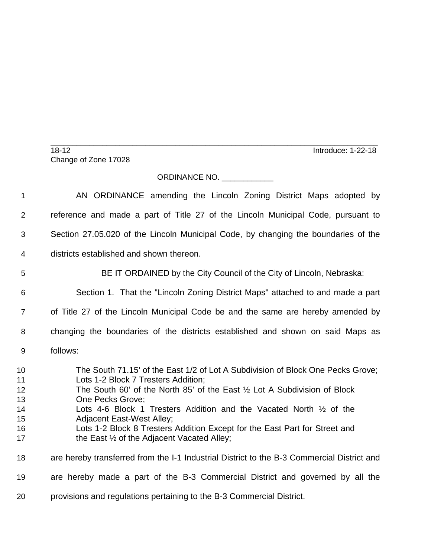\_\_\_\_\_\_\_\_\_\_\_\_\_\_\_\_\_\_\_\_\_\_\_\_\_\_\_\_\_\_\_\_\_\_\_\_\_\_\_\_\_\_\_\_\_\_\_\_\_\_\_\_\_\_\_\_\_\_\_\_\_\_\_\_\_\_\_\_\_\_\_\_\_\_\_\_ 18-12 Introduce: 1-22-18 Change of Zone 17028

## ORDINANCE NO. \_\_\_\_\_\_\_\_\_\_\_\_

| 1                                            | AN ORDINANCE amending the Lincoln Zoning District Maps adopted by                                                                                                                                                                                                                                                                                                                                                                                                                   |
|----------------------------------------------|-------------------------------------------------------------------------------------------------------------------------------------------------------------------------------------------------------------------------------------------------------------------------------------------------------------------------------------------------------------------------------------------------------------------------------------------------------------------------------------|
| 2                                            | reference and made a part of Title 27 of the Lincoln Municipal Code, pursuant to                                                                                                                                                                                                                                                                                                                                                                                                    |
| 3                                            | Section 27.05.020 of the Lincoln Municipal Code, by changing the boundaries of the                                                                                                                                                                                                                                                                                                                                                                                                  |
| 4                                            | districts established and shown thereon.                                                                                                                                                                                                                                                                                                                                                                                                                                            |
| 5                                            | BE IT ORDAINED by the City Council of the City of Lincoln, Nebraska:                                                                                                                                                                                                                                                                                                                                                                                                                |
| $6\phantom{1}6$                              | Section 1. That the "Lincoln Zoning District Maps" attached to and made a part                                                                                                                                                                                                                                                                                                                                                                                                      |
| $\overline{7}$                               | of Title 27 of the Lincoln Municipal Code be and the same are hereby amended by                                                                                                                                                                                                                                                                                                                                                                                                     |
| 8                                            | changing the boundaries of the districts established and shown on said Maps as                                                                                                                                                                                                                                                                                                                                                                                                      |
| 9                                            | follows:                                                                                                                                                                                                                                                                                                                                                                                                                                                                            |
| 10<br>11<br>12<br>13<br>14<br>15<br>16<br>17 | The South 71.15' of the East 1/2 of Lot A Subdivision of Block One Pecks Grove;<br>Lots 1-2 Block 7 Tresters Addition;<br>The South 60' of the North 85' of the East $\frac{1}{2}$ Lot A Subdivision of Block<br>One Pecks Grove;<br>Lots 4-6 Block 1 Tresters Addition and the Vacated North 1/2 of the<br><b>Adjacent East-West Alley;</b><br>Lots 1-2 Block 8 Tresters Addition Except for the East Part for Street and<br>the East $\frac{1}{2}$ of the Adjacent Vacated Alley; |
| 18                                           | are hereby transferred from the I-1 Industrial District to the B-3 Commercial District and                                                                                                                                                                                                                                                                                                                                                                                          |
| 19                                           | are hereby made a part of the B-3 Commercial District and governed by all the                                                                                                                                                                                                                                                                                                                                                                                                       |
| 20                                           | provisions and regulations pertaining to the B-3 Commercial District.                                                                                                                                                                                                                                                                                                                                                                                                               |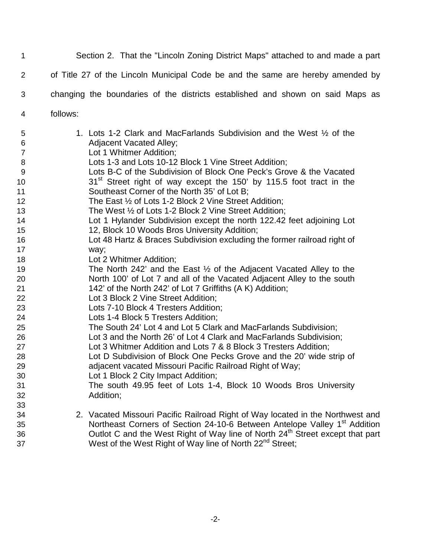Section 2. That the "Lincoln Zoning District Maps" attached to and made a part of Title 27 of the Lincoln Municipal Code be and the same are hereby amended by changing the boundaries of the districts established and shown on said Maps as follows: 1. Lots 1-2 Clark and MacFarlands Subdivision and the West ½ of the Adjacent Vacated Alley; Lot 1 Whitmer Addition; Lots 1-3 and Lots 10-12 Block 1 Vine Street Addition; Lots B-C of the Subdivision of Block One Peck's Grove & the Vacated 10 31<sup>st</sup> Street right of way except the 150' by 115.5 foot tract in the Southeast Corner of the North 35' of Lot B; 12 The East 1/2 of Lots 1-2 Block 2 Vine Street Addition; 13 The West 1/2 of Lots 1-2 Block 2 Vine Street Addition; Lot 1 Hylander Subdivision except the north 122.42 feet adjoining Lot 12, Block 10 Woods Bros University Addition; Lot 48 Hartz & Braces Subdivision excluding the former railroad right of way; 18 Lot 2 Whitmer Addition; The North 242' and the East ½ of the Adjacent Vacated Alley to the North 100' of Lot 7 and all of the Vacated Adjacent Alley to the south 142' of the North 242' of Lot 7 Griffiths (A K) Addition; Lot 3 Block 2 Vine Street Addition; Lots 7-10 Block 4 Tresters Addition; Lots 1-4 Block 5 Tresters Addition; The South 24' Lot 4 and Lot 5 Clark and MacFarlands Subdivision; Lot 3 and the North 26' of Lot 4 Clark and MacFarlands Subdivision; Lot 3 Whitmer Addition and Lots 7 & 8 Block 3 Tresters Addition; Lot D Subdivision of Block One Pecks Grove and the 20' wide strip of adjacent vacated Missouri Pacific Railroad Right of Way; Lot 1 Block 2 City Impact Addition; The south 49.95 feet of Lots 1-4, Block 10 Woods Bros University Addition; 2. Vacated Missouri Pacific Railroad Right of Way located in the Northwest and 35 Northeast Corners of Section 24-10-6 Between Antelope Valley 1<sup>st</sup> Addition **Subset Coutlot C** and the West Right of Way line of North 24<sup>th</sup> Street except that part

-2-

37 West of the West Right of Way line of North 22<sup>nd</sup> Street;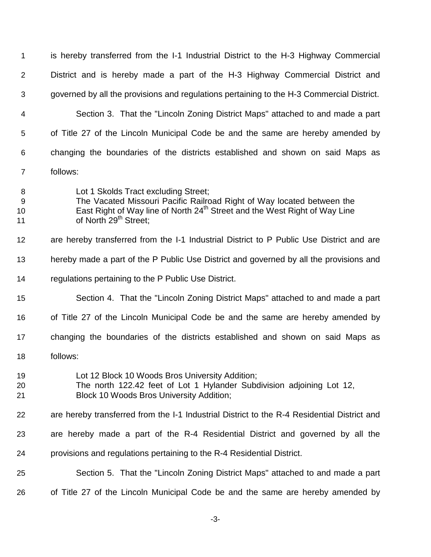| $\mathbf 1$        | is hereby transferred from the I-1 Industrial District to the H-3 Highway Commercial                                                                                                                                                          |
|--------------------|-----------------------------------------------------------------------------------------------------------------------------------------------------------------------------------------------------------------------------------------------|
| $\overline{2}$     | District and is hereby made a part of the H-3 Highway Commercial District and                                                                                                                                                                 |
| 3                  | governed by all the provisions and regulations pertaining to the H-3 Commercial District.                                                                                                                                                     |
| 4                  | Section 3. That the "Lincoln Zoning District Maps" attached to and made a part                                                                                                                                                                |
| 5                  | of Title 27 of the Lincoln Municipal Code be and the same are hereby amended by                                                                                                                                                               |
| 6                  | changing the boundaries of the districts established and shown on said Maps as                                                                                                                                                                |
| $\overline{7}$     | follows:                                                                                                                                                                                                                                      |
| 8<br>9<br>10<br>11 | Lot 1 Skolds Tract excluding Street;<br>The Vacated Missouri Pacific Railroad Right of Way located between the<br>East Right of Way line of North 24 <sup>th</sup> Street and the West Right of Way Line<br>of North 29 <sup>th</sup> Street; |
| 12                 | are hereby transferred from the I-1 Industrial District to P Public Use District and are                                                                                                                                                      |
| 13                 | hereby made a part of the P Public Use District and governed by all the provisions and                                                                                                                                                        |
| 14                 | regulations pertaining to the P Public Use District.                                                                                                                                                                                          |
| 15                 | Section 4. That the "Lincoln Zoning District Maps" attached to and made a part                                                                                                                                                                |
| 16                 | of Title 27 of the Lincoln Municipal Code be and the same are hereby amended by                                                                                                                                                               |
| 17                 | changing the boundaries of the districts established and shown on said Maps as                                                                                                                                                                |
| 18                 | follows:                                                                                                                                                                                                                                      |
| 19<br>20<br>21     | Lot 12 Block 10 Woods Bros University Addition;<br>The north 122.42 feet of Lot 1 Hylander Subdivision adjoining Lot 12,<br><b>Block 10 Woods Bros University Addition;</b>                                                                   |
| 22                 | are hereby transferred from the I-1 Industrial District to the R-4 Residential District and                                                                                                                                                   |
| 23                 | are hereby made a part of the R-4 Residential District and governed by all the                                                                                                                                                                |
| 24                 | provisions and regulations pertaining to the R-4 Residential District.                                                                                                                                                                        |
| 25                 | Section 5. That the "Lincoln Zoning District Maps" attached to and made a part                                                                                                                                                                |
| 26                 | of Title 27 of the Lincoln Municipal Code be and the same are hereby amended by                                                                                                                                                               |
|                    |                                                                                                                                                                                                                                               |

-3-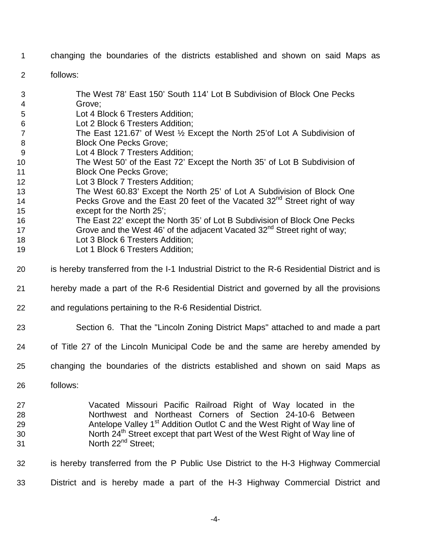- changing the boundaries of the districts established and shown on said Maps as
- follows:
- The West 78' East 150' South 114' Lot B Subdivision of Block One Pecks Grove;
- Lot 4 Block 6 Tresters Addition;
- Lot 2 Block 6 Tresters Addition;
- The East 121.67' of West ½ Except the North 25'of Lot A Subdivision of 8 Block One Pecks Grove;
- Lot 4 Block 7 Tresters Addition;
- The West 50' of the East 72' Except the North 35' of Lot B Subdivision of **Block One Pecks Grove:**
- Lot 3 Block 7 Tresters Addition;
- The West 60.83' Except the North 25' of Lot A Subdivision of Block One 14 Pecks Grove and the East 20 feet of the Vacated  $32<sup>nd</sup>$  Street right of way except for the North 25';
- The East 22' except the North 35' of Lot B Subdivision of Block One Pecks
- 17 Grove and the West 46' of the adjacent Vacated  $32<sup>nd</sup>$  Street right of way;
- 18 Lot 3 Block 6 Tresters Addition;
- Lot 1 Block 6 Tresters Addition;
- is hereby transferred from the I-1 Industrial District to the R-6 Residential District and is
- hereby made a part of the R-6 Residential District and governed by all the provisions
- and regulations pertaining to the R-6 Residential District.
- Section 6. That the "Lincoln Zoning District Maps" attached to and made a part
- of Title 27 of the Lincoln Municipal Code be and the same are hereby amended by
- changing the boundaries of the districts established and shown on said Maps as
- follows:
- Vacated Missouri Pacific Railroad Right of Way located in the Northwest and Northeast Corners of Section 24-10-6 Between 29 **Antelope Valley 1<sup>st</sup> Addition Outlot C and the West Right of Way line of** 30 North 24<sup>th</sup> Street except that part West of the West Right of Way line of 31 North 22<sup>nd</sup> Street;
- is hereby transferred from the P Public Use District to the H-3 Highway Commercial District and is hereby made a part of the H-3 Highway Commercial District and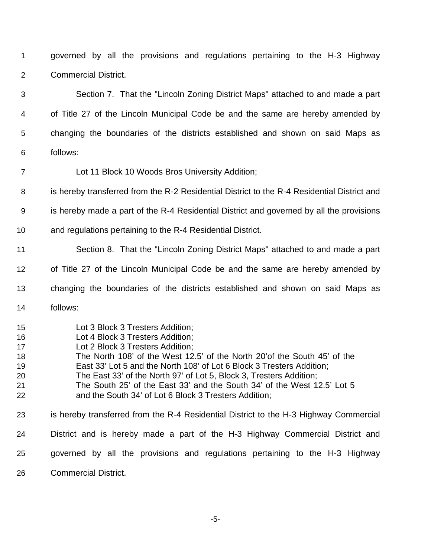governed by all the provisions and regulations pertaining to the H-3 Highway Commercial District.

 Section 7. That the "Lincoln Zoning District Maps" attached to and made a part of Title 27 of the Lincoln Municipal Code be and the same are hereby amended by changing the boundaries of the districts established and shown on said Maps as follows:

Lot 11 Block 10 Woods Bros University Addition;

is hereby transferred from the R-2 Residential District to the R-4 Residential District and

is hereby made a part of the R-4 Residential District and governed by all the provisions

and regulations pertaining to the R-4 Residential District.

Section 8. That the "Lincoln Zoning District Maps" attached to and made a part

of Title 27 of the Lincoln Municipal Code be and the same are hereby amended by

 changing the boundaries of the districts established and shown on said Maps as follows:

- Lot 3 Block 3 Tresters Addition;
- Lot 4 Block 3 Tresters Addition;
- Lot 2 Block 3 Tresters Addition;
- The North 108' of the West 12.5' of the North 20'of the South 45' of the
- East 33' Lot 5 and the North 108' of Lot 6 Block 3 Tresters Addition;
- The East 33' of the North 97' of Lot 5, Block 3, Tresters Addition;
- The South 25' of the East 33' and the South 34' of the West 12.5' Lot 5 and the South 34' of Lot 6 Block 3 Tresters Addition;

 is hereby transferred from the R-4 Residential District to the H-3 Highway Commercial District and is hereby made a part of the H-3 Highway Commercial District and governed by all the provisions and regulations pertaining to the H-3 Highway

Commercial District.

-5-